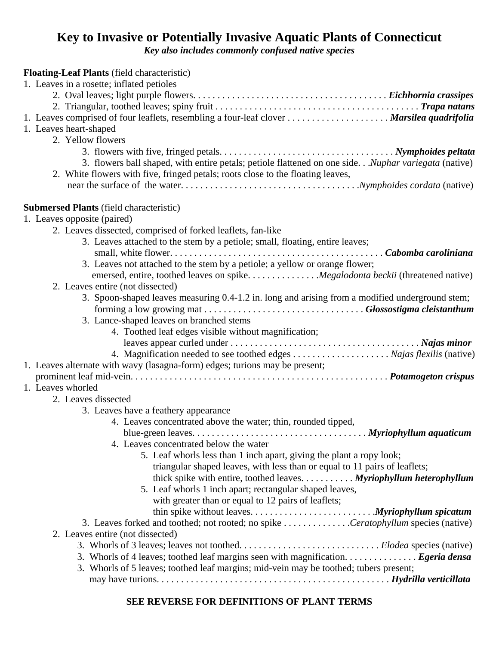## **Key to Invasive or Potentially Invasive Aquatic Plants of Connecticut**

*Key also includes commonly confused native species* 

| <b>Floating-Leaf Plants</b> (field characteristic)                                                  |
|-----------------------------------------------------------------------------------------------------|
| 1. Leaves in a rosette; inflated petioles                                                           |
|                                                                                                     |
|                                                                                                     |
| 1. Leaves comprised of four leaflets, resembling a four-leaf clover Marsilea quadrifolia            |
| 1. Leaves heart-shaped                                                                              |
| 2. Yellow flowers                                                                                   |
|                                                                                                     |
| 3. flowers ball shaped, with entire petals; petiole flattened on one side.Nuphar variegata (native) |
| 2. White flowers with five, fringed petals; roots close to the floating leaves,                     |
|                                                                                                     |
| <b>Submersed Plants</b> (field characteristic)                                                      |
| 1. Leaves opposite (paired)                                                                         |
| 2. Leaves dissected, comprised of forked leaflets, fan-like                                         |
| 3. Leaves attached to the stem by a petiole; small, floating, entire leaves;                        |
|                                                                                                     |
| 3. Leaves not attached to the stem by a petiole; a yellow or orange flower;                         |
|                                                                                                     |
| 2. Leaves entire (not dissected)                                                                    |
| 3. Spoon-shaped leaves measuring 0.4-1.2 in. long and arising from a modified underground stem;     |
|                                                                                                     |
| 3. Lance-shaped leaves on branched stems                                                            |
| 4. Toothed leaf edges visible without magnification;                                                |
|                                                                                                     |
| 4. Magnification needed to see toothed edges Najas flexilis (native)                                |
| 1. Leaves alternate with wavy (lasagna-form) edges; turions may be present;                         |
|                                                                                                     |
| 1. Leaves whorled                                                                                   |
| 2. Leaves dissected                                                                                 |
| 3. Leaves have a feathery appearance                                                                |
| 4. Leaves concentrated above the water; thin, rounded tipped,                                       |
|                                                                                                     |
| 4. Leaves concentrated below the water                                                              |
| 5. Leaf whorls less than 1 inch apart, giving the plant a ropy look;                                |
| triangular shaped leaves, with less than or equal to 11 pairs of leaflets;                          |
| thick spike with entire, toothed leaves. $\dots \dots \dots$ $Myriophyllum$ heterophyllum           |
| 5. Leaf whorls 1 inch apart; rectangular shaped leaves,                                             |
| with greater than or equal to 12 pairs of leaflets;                                                 |
| 3. Leaves forked and toothed; not rooted; no spike Ceratophyllum species (native)                   |
| 2. Leaves entire (not dissected)                                                                    |
|                                                                                                     |
| 3. Whorls of 4 leaves; toothed leaf margins seen with magnification. Egeria densa                   |
| 3. Whorls of 5 leaves; toothed leaf margins; mid-vein may be toothed; tubers present;               |
|                                                                                                     |
|                                                                                                     |

## **SEE REVERSE FOR DEFINITIONS OF PLANT TERMS**